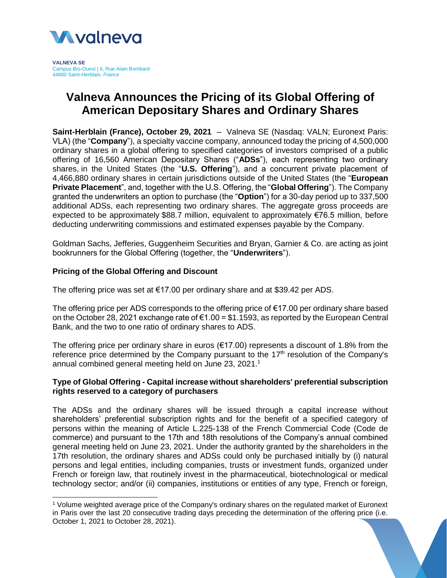

**VALNEVA SE** Campus Bio-Ouest | 6, Rue Alain Bombard 44800 Saint-Herblain, *France*

# **Valneva Announces the Pricing of its Global Offering of American Depositary Shares and Ordinary Shares**

**Saint-Herblain (France), October 29, 2021** – Valneva SE (Nasdaq: VALN; Euronext Paris: VLA) (the "**Company**"), a specialty vaccine company, announced today the pricing of 4,500,000 ordinary shares in a global offering to specified categories of investors comprised of a public offering of 16,560 American Depositary Shares ("**ADSs**"), each representing two ordinary shares, in the United States (the "**U.S. Offering**"), and a concurrent private placement of 4,466,880 ordinary shares in certain jurisdictions outside of the United States (the "**European Private Placement**", and, together with the U.S. Offering, the "**Global Offering**"). The Company granted the underwriters an option to purchase (the "**Option**") for a 30-day period up to 337,500 additional ADSs, each representing two ordinary shares. The aggregate gross proceeds are expected to be approximately \$88.7 million, equivalent to approximately €76.5 million, before deducting underwriting commissions and estimated expenses payable by the Company.

Goldman Sachs, Jefferies, Guggenheim Securities and Bryan, Garnier & Co. are acting as joint bookrunners for the Global Offering (together, the "**Underwriters**").

# **Pricing of the Global Offering and Discount**

l

The offering price was set at €17.00 per ordinary share and at \$39.42 per ADS.

The offering price per ADS corresponds to the offering price of  $\epsilon$ 17.00 per ordinary share based on the October 28, 2021 exchange rate of  $\epsilon$ 1.00 = \$1.1593, as reported by the European Central Bank, and the two to one ratio of ordinary shares to ADS.

The offering price per ordinary share in euros ( $€17.00$ ) represents a discount of 1.8% from the reference price determined by the Company pursuant to the 17<sup>th</sup> resolution of the Company's annual combined general meeting held on June 23, 2021. 1

# **Type of Global Offering - Capital increase without shareholders' preferential subscription rights reserved to a category of purchasers**

The ADSs and the ordinary shares will be issued through a capital increase without shareholders' preferential subscription rights and for the benefit of a specified category of persons within the meaning of Article L.225-138 of the French Commercial Code (Code de commerce) and pursuant to the 17th and 18th resolutions of the Company's annual combined general meeting held on June 23, 2021. Under the authority granted by the shareholders in the 17th resolution, the ordinary shares and ADSs could only be purchased initially by (i) natural persons and legal entities, including companies, trusts or investment funds, organized under French or foreign law, that routinely invest in the pharmaceutical, biotechnological or medical technology sector; and/or (ii) companies, institutions or entities of any type, French or foreign,

<sup>1</sup> Volume weighted average price of the Company's ordinary shares on the regulated market of Euronext in Paris over the last 20 consecutive trading days preceding the determination of the offering price (i.e. October 1, 2021 to October 28, 2021).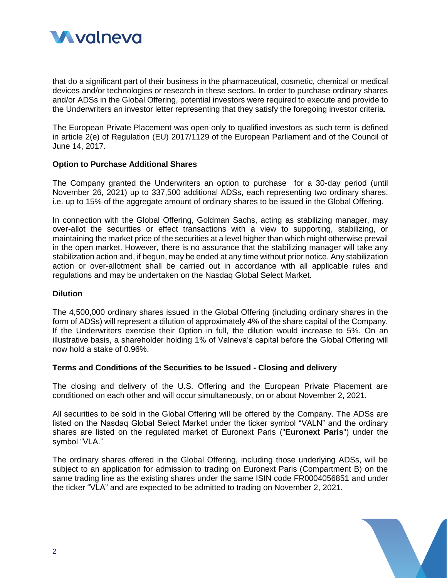

that do a significant part of their business in the pharmaceutical, cosmetic, chemical or medical devices and/or technologies or research in these sectors. In order to purchase ordinary shares and/or ADSs in the Global Offering, potential investors were required to execute and provide to the Underwriters an investor letter representing that they satisfy the foregoing investor criteria.

The European Private Placement was open only to qualified investors as such term is defined in article 2(e) of Regulation (EU) 2017/1129 of the European Parliament and of the Council of June 14, 2017.

#### **Option to Purchase Additional Shares**

The Company granted the Underwriters an option to purchase for a 30-day period (until November 26, 2021) up to 337,500 additional ADSs, each representing two ordinary shares, i.e. up to 15% of the aggregate amount of ordinary shares to be issued in the Global Offering.

In connection with the Global Offering, Goldman Sachs, acting as stabilizing manager, may over-allot the securities or effect transactions with a view to supporting, stabilizing, or maintaining the market price of the securities at a level higher than which might otherwise prevail in the open market. However, there is no assurance that the stabilizing manager will take any stabilization action and, if begun, may be ended at any time without prior notice. Any stabilization action or over-allotment shall be carried out in accordance with all applicable rules and regulations and may be undertaken on the Nasdaq Global Select Market.

## **Dilution**

The 4,500,000 ordinary shares issued in the Global Offering (including ordinary shares in the form of ADSs) will represent a dilution of approximately 4% of the share capital of the Company. If the Underwriters exercise their Option in full, the dilution would increase to 5%. On an illustrative basis, a shareholder holding 1% of Valneva's capital before the Global Offering will now hold a stake of 0.96%.

#### **Terms and Conditions of the Securities to be Issued - Closing and delivery**

The closing and delivery of the U.S. Offering and the European Private Placement are conditioned on each other and will occur simultaneously, on or about November 2, 2021.

All securities to be sold in the Global Offering will be offered by the Company. The ADSs are listed on the Nasdaq Global Select Market under the ticker symbol "VALN" and the ordinary shares are listed on the regulated market of Euronext Paris ("**Euronext Paris**") under the symbol "VLA."

The ordinary shares offered in the Global Offering, including those underlying ADSs, will be subject to an application for admission to trading on Euronext Paris (Compartment B) on the same trading line as the existing shares under the same ISIN code FR0004056851 and under the ticker "VLA" and are expected to be admitted to trading on November 2, 2021.

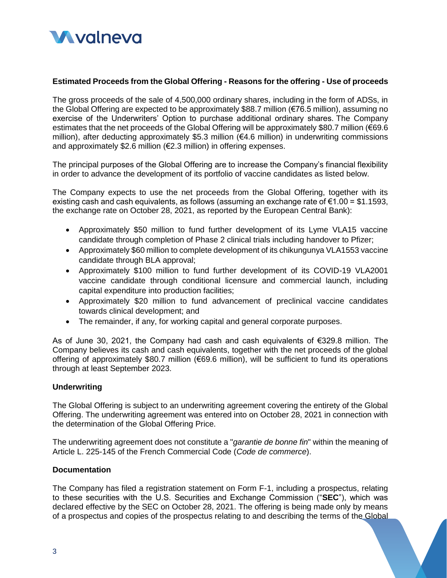

## **Estimated Proceeds from the Global Offering - Reasons for the offering - Use of proceeds**

The gross proceeds of the sale of 4,500,000 ordinary shares, including in the form of ADSs, in the Global Offering are expected to be approximately \$88.7 million (€76.5 million), assuming no exercise of the Underwriters' Option to purchase additional ordinary shares. The Company estimates that the net proceeds of the Global Offering will be approximately \$80.7 million (€69.6 million), after deducting approximately \$5.3 million ( $€4.6$  million) in underwriting commissions and approximately \$2.6 million (€2.3 million) in offering expenses.

The principal purposes of the Global Offering are to increase the Company's financial flexibility in order to advance the development of its portfolio of vaccine candidates as listed below.

The Company expects to use the net proceeds from the Global Offering, together with its existing cash and cash equivalents, as follows (assuming an exchange rate of  $\epsilon$ 1.00 = \$1.1593, the exchange rate on October 28, 2021, as reported by the European Central Bank):

- Approximately \$50 million to fund further development of its Lyme VLA15 vaccine candidate through completion of Phase 2 clinical trials including handover to Pfizer;
- Approximately \$60 million to complete development of its chikungunya VLA1553 vaccine candidate through BLA approval;
- Approximately \$100 million to fund further development of its COVID-19 VLA2001 vaccine candidate through conditional licensure and commercial launch, including capital expenditure into production facilities;
- Approximately \$20 million to fund advancement of preclinical vaccine candidates towards clinical development; and
- The remainder, if any, for working capital and general corporate purposes.

As of June 30, 2021, the Company had cash and cash equivalents of €329.8 million. The Company believes its cash and cash equivalents, together with the net proceeds of the global offering of approximately \$80.7 million (€69.6 million), will be sufficient to fund its operations through at least September 2023.

#### **Underwriting**

The Global Offering is subject to an underwriting agreement covering the entirety of the Global Offering. The underwriting agreement was entered into on October 28, 2021 in connection with the determination of the Global Offering Price.

The underwriting agreement does not constitute a "*garantie de bonne fin*" within the meaning of Article L. 225-145 of the French Commercial Code (*Code de commerce*).

#### **Documentation**

The Company has filed a registration statement on Form F-1, including a prospectus, relating to these securities with the U.S. Securities and Exchange Commission ("**SEC**"), which was declared effective by the SEC on October 28, 2021. The offering is being made only by means of a prospectus and copies of the prospectus relating to and describing the terms of the Global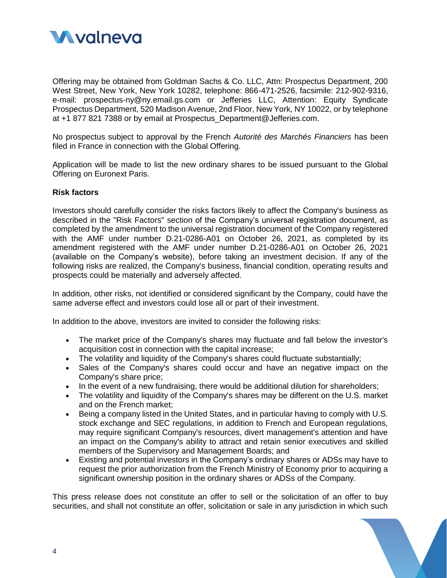

Offering may be obtained from Goldman Sachs & Co. LLC, Attn: Prospectus Department, 200 West Street, New York, New York 10282, telephone: 866-471-2526, facsimile: 212-902-9316, e-mail: prospectus-ny@ny.email.gs.com or Jefferies LLC, Attention: Equity Syndicate Prospectus Department, 520 Madison Avenue, 2nd Floor, New York, NY 10022, or by telephone at +1 877 821 7388 or by email at Prospectus\_Department@Jefferies.com.

No prospectus subject to approval by the French *Autorité des Marchés Financiers* has been filed in France in connection with the Global Offering.

Application will be made to list the new ordinary shares to be issued pursuant to the Global Offering on Euronext Paris.

#### **Risk factors**

Investors should carefully consider the risks factors likely to affect the Company's business as described in the "Risk Factors" section of the Company's universal registration document, as completed by the amendment to the universal registration document of the Company registered with the AMF under number D.21-0286-A01 on October 26, 2021, as completed by its amendment registered with the AMF under number D.21-0286-A01 on October 26, 2021 (available on the Company's website), before taking an investment decision. If any of the following risks are realized, the Company's business, financial condition, operating results and prospects could be materially and adversely affected.

In addition, other risks, not identified or considered significant by the Company, could have the same adverse effect and investors could lose all or part of their investment.

In addition to the above, investors are invited to consider the following risks:

- The market price of the Company's shares may fluctuate and fall below the investor's acquisition cost in connection with the capital increase;
- The volatility and liquidity of the Company's shares could fluctuate substantially;
- Sales of the Company's shares could occur and have an negative impact on the Company's share price;
- In the event of a new fundraising, there would be additional dilution for shareholders;
- The volatility and liquidity of the Company's shares may be different on the U.S. market and on the French market;
- Being a company listed in the United States, and in particular having to comply with U.S. stock exchange and SEC regulations, in addition to French and European regulations, may require significant Company's resources, divert management's attention and have an impact on the Company's ability to attract and retain senior executives and skilled members of the Supervisory and Management Boards; and
- Existing and potential investors in the Company's ordinary shares or ADSs may have to request the prior authorization from the French Ministry of Economy prior to acquiring a significant ownership position in the ordinary shares or ADSs of the Company.

This press release does not constitute an offer to sell or the solicitation of an offer to buy securities, and shall not constitute an offer, solicitation or sale in any jurisdiction in which such

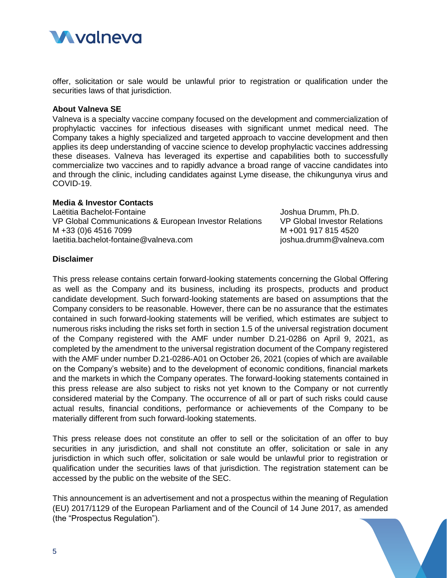

offer, solicitation or sale would be unlawful prior to registration or qualification under the securities laws of that jurisdiction.

#### **About Valneva SE**

Valneva is a specialty vaccine company focused on the development and commercialization of prophylactic vaccines for infectious diseases with significant unmet medical need. The Company takes a highly specialized and targeted approach to vaccine development and then applies its deep understanding of vaccine science to develop prophylactic vaccines addressing these diseases. Valneva has leveraged its expertise and capabilities both to successfully commercialize two vaccines and to rapidly advance a broad range of vaccine candidates into and through the clinic, including candidates against Lyme disease, the chikungunya virus and COVID-19.

## **Media & Investor Contacts**

Laëtitia Bachelot-Fontaine VP Global Communications & European Investor Relations M +33 (0)6 4516 7099 laetitia.bachelot-fontaine@valneva.com

Joshua Drumm, Ph.D. VP Global Investor Relations M +001 917 815 4520 joshua.drumm@valneva.com

# **Disclaimer**

This press release contains certain forward-looking statements concerning the Global Offering as well as the Company and its business, including its prospects, products and product candidate development. Such forward-looking statements are based on assumptions that the Company considers to be reasonable. However, there can be no assurance that the estimates contained in such forward-looking statements will be verified, which estimates are subject to numerous risks including the risks set forth in section 1.5 of the universal registration document of the Company registered with the AMF under number D.21-0286 on April 9, 2021, as completed by the amendment to the universal registration document of the Company registered with the AMF under number D.21-0286-A01 on October 26, 2021 (copies of which are available on the Company's website) and to the development of economic conditions, financial markets and the markets in which the Company operates. The forward-looking statements contained in this press release are also subject to risks not yet known to the Company or not currently considered material by the Company. The occurrence of all or part of such risks could cause actual results, financial conditions, performance or achievements of the Company to be materially different from such forward-looking statements.

This press release does not constitute an offer to sell or the solicitation of an offer to buy securities in any jurisdiction, and shall not constitute an offer, solicitation or sale in any jurisdiction in which such offer, solicitation or sale would be unlawful prior to registration or qualification under the securities laws of that jurisdiction. The registration statement can be accessed by the public on the website of the SEC.

This announcement is an advertisement and not a prospectus within the meaning of Regulation (EU) 2017/1129 of the European Parliament and of the Council of 14 June 2017, as amended (the "Prospectus Regulation").